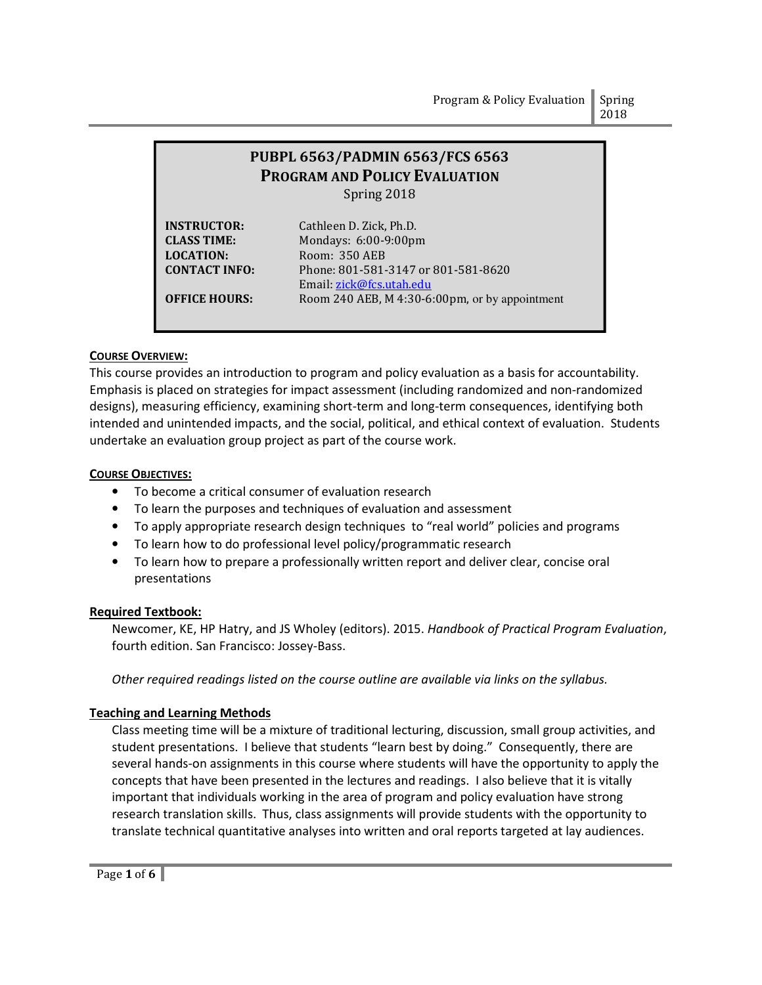# PUBPL 6563/PADMIN 6563/FCS 6563 PROGRAM AND POLICY EVALUATION Spring 2018

LOCATION: Room: 350 AEB

INSTRUCTOR: Cathleen D. Zick, Ph.D. CLASS TIME: Mondays: 6:00-9:00pm CONTACT INFO: Phone: 801-581-3147 or 801-581-8620 Email: zick@fcs.utah.edu **OFFICE HOURS:** Room 240 AEB, M 4:30-6:00pm, or by appointment

# COURSE OVERVIEW:

This course provides an introduction to program and policy evaluation as a basis for accountability. Emphasis is placed on strategies for impact assessment (including randomized and non-randomized designs), measuring efficiency, examining short-term and long-term consequences, identifying both intended and unintended impacts, and the social, political, and ethical context of evaluation. Students undertake an evaluation group project as part of the course work.

# COURSE OBJECTIVES:

- To become a critical consumer of evaluation research
- To learn the purposes and techniques of evaluation and assessment
- To apply appropriate research design techniques to "real world" policies and programs
- To learn how to do professional level policy/programmatic research
- To learn how to prepare a professionally written report and deliver clear, concise oral presentations

# Required Textbook:

Newcomer, KE, HP Hatry, and JS Wholey (editors). 2015. Handbook of Practical Program Evaluation, fourth edition. San Francisco: Jossey-Bass.

Other required readings listed on the course outline are available via links on the syllabus.

# Teaching and Learning Methods

Class meeting time will be a mixture of traditional lecturing, discussion, small group activities, and student presentations. I believe that students "learn best by doing." Consequently, there are several hands-on assignments in this course where students will have the opportunity to apply the concepts that have been presented in the lectures and readings. I also believe that it is vitally important that individuals working in the area of program and policy evaluation have strong research translation skills. Thus, class assignments will provide students with the opportunity to translate technical quantitative analyses into written and oral reports targeted at lay audiences.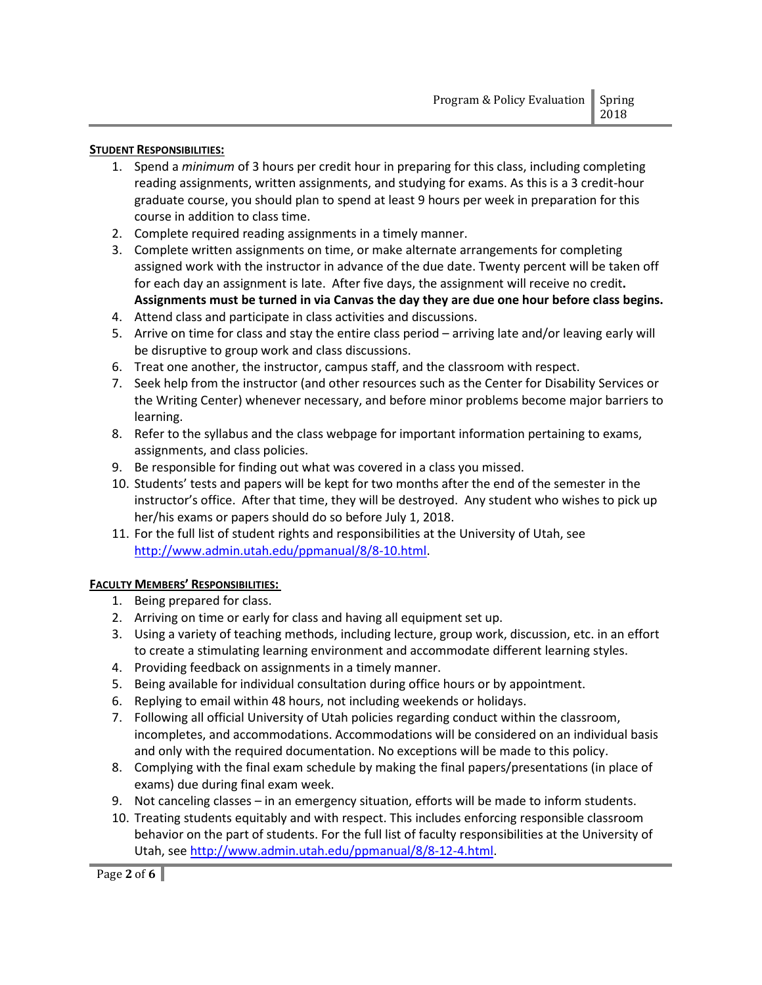#### STUDENT RESPONSIBILITIES:

- 1. Spend a *minimum* of 3 hours per credit hour in preparing for this class, including completing reading assignments, written assignments, and studying for exams. As this is a 3 credit-hour graduate course, you should plan to spend at least 9 hours per week in preparation for this course in addition to class time.
- 2. Complete required reading assignments in a timely manner.
- 3. Complete written assignments on time, or make alternate arrangements for completing assigned work with the instructor in advance of the due date. Twenty percent will be taken off for each day an assignment is late. After five days, the assignment will receive no credit. Assignments must be turned in via Canvas the day they are due one hour before class begins.
- 4. Attend class and participate in class activities and discussions.
- 5. Arrive on time for class and stay the entire class period arriving late and/or leaving early will be disruptive to group work and class discussions.
- 6. Treat one another, the instructor, campus staff, and the classroom with respect.
- 7. Seek help from the instructor (and other resources such as the Center for Disability Services or the Writing Center) whenever necessary, and before minor problems become major barriers to learning.
- 8. Refer to the syllabus and the class webpage for important information pertaining to exams, assignments, and class policies.
- 9. Be responsible for finding out what was covered in a class you missed.
- 10. Students' tests and papers will be kept for two months after the end of the semester in the instructor's office. After that time, they will be destroyed. Any student who wishes to pick up her/his exams or papers should do so before July 1, 2018.
- 11. For the full list of student rights and responsibilities at the University of Utah, see http://www.admin.utah.edu/ppmanual/8/8-10.html.

## FACULTY MEMBERS' RESPONSIBILITIES:

- 1. Being prepared for class.
- 2. Arriving on time or early for class and having all equipment set up.
- 3. Using a variety of teaching methods, including lecture, group work, discussion, etc. in an effort to create a stimulating learning environment and accommodate different learning styles.
- 4. Providing feedback on assignments in a timely manner.
- 5. Being available for individual consultation during office hours or by appointment.
- 6. Replying to email within 48 hours, not including weekends or holidays.
- 7. Following all official University of Utah policies regarding conduct within the classroom, incompletes, and accommodations. Accommodations will be considered on an individual basis and only with the required documentation. No exceptions will be made to this policy.
- 8. Complying with the final exam schedule by making the final papers/presentations (in place of exams) due during final exam week.
- 9. Not canceling classes in an emergency situation, efforts will be made to inform students.
- 10. Treating students equitably and with respect. This includes enforcing responsible classroom behavior on the part of students. For the full list of faculty responsibilities at the University of Utah, see http://www.admin.utah.edu/ppmanual/8/8-12-4.html.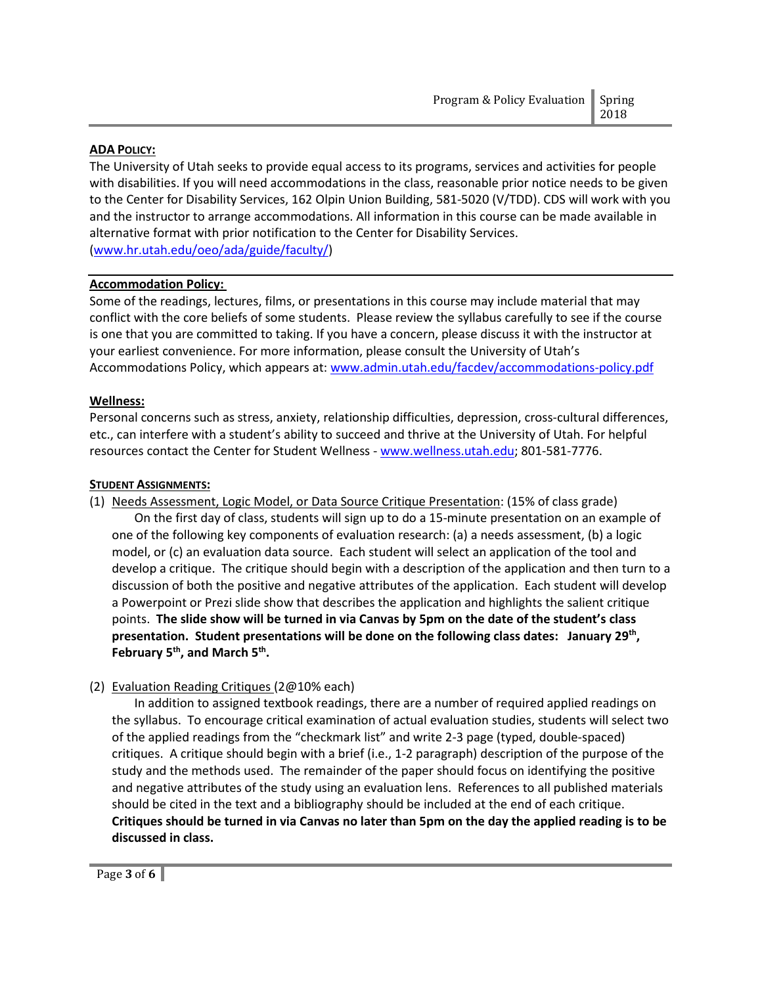## ADA POLICY:

The University of Utah seeks to provide equal access to its programs, services and activities for people with disabilities. If you will need accommodations in the class, reasonable prior notice needs to be given to the Center for Disability Services, 162 Olpin Union Building, 581-5020 (V/TDD). CDS will work with you and the instructor to arrange accommodations. All information in this course can be made available in alternative format with prior notification to the Center for Disability Services. (www.hr.utah.edu/oeo/ada/guide/faculty/)

## Accommodation Policy:

Some of the readings, lectures, films, or presentations in this course may include material that may conflict with the core beliefs of some students. Please review the syllabus carefully to see if the course is one that you are committed to taking. If you have a concern, please discuss it with the instructor at your earliest convenience. For more information, please consult the University of Utah's Accommodations Policy, which appears at: www.admin.utah.edu/facdev/accommodations-policy.pdf

## Wellness:

Personal concerns such as stress, anxiety, relationship difficulties, depression, cross-cultural differences, etc., can interfere with a student's ability to succeed and thrive at the University of Utah. For helpful resources contact the Center for Student Wellness - www.wellness.utah.edu; 801-581-7776.

#### **STUDENT ASSIGNMENTS:**

(1) Needs Assessment, Logic Model, or Data Source Critique Presentation: (15% of class grade)

On the first day of class, students will sign up to do a 15-minute presentation on an example of one of the following key components of evaluation research: (a) a needs assessment, (b) a logic model, or (c) an evaluation data source. Each student will select an application of the tool and develop a critique. The critique should begin with a description of the application and then turn to a discussion of both the positive and negative attributes of the application. Each student will develop a Powerpoint or Prezi slide show that describes the application and highlights the salient critique points. The slide show will be turned in via Canvas by 5pm on the date of the student's class presentation. Student presentations will be done on the following class dates: January 29<sup>th</sup>, February 5<sup>th</sup>, and March 5<sup>th</sup>.

(2) Evaluation Reading Critiques (2@10% each)

In addition to assigned textbook readings, there are a number of required applied readings on the syllabus. To encourage critical examination of actual evaluation studies, students will select two of the applied readings from the "checkmark list" and write 2-3 page (typed, double-spaced) critiques. A critique should begin with a brief (i.e., 1-2 paragraph) description of the purpose of the study and the methods used. The remainder of the paper should focus on identifying the positive and negative attributes of the study using an evaluation lens. References to all published materials should be cited in the text and a bibliography should be included at the end of each critique. Critiques should be turned in via Canvas no later than 5pm on the day the applied reading is to be discussed in class.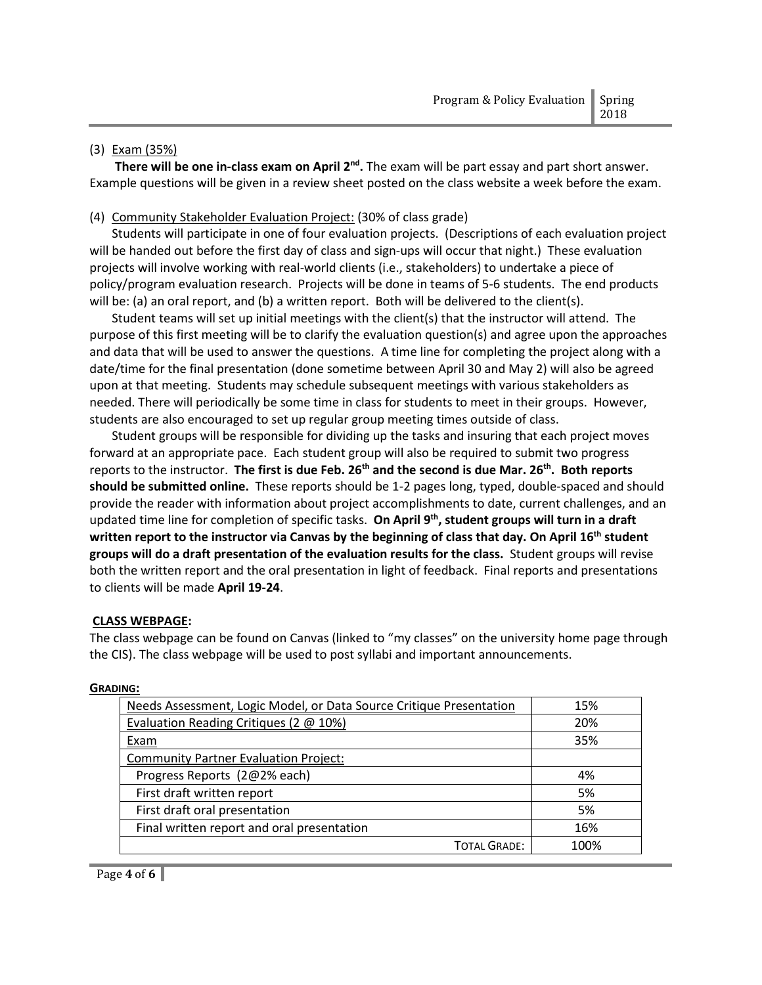#### (3) Exam (35%)

There will be one in-class exam on April 2<sup>nd</sup>. The exam will be part essay and part short answer. Example questions will be given in a review sheet posted on the class website a week before the exam.

### (4) Community Stakeholder Evaluation Project: (30% of class grade)

 Students will participate in one of four evaluation projects. (Descriptions of each evaluation project will be handed out before the first day of class and sign-ups will occur that night.) These evaluation projects will involve working with real-world clients (i.e., stakeholders) to undertake a piece of policy/program evaluation research. Projects will be done in teams of 5-6 students. The end products will be: (a) an oral report, and (b) a written report. Both will be delivered to the client(s).

 Student teams will set up initial meetings with the client(s) that the instructor will attend. The purpose of this first meeting will be to clarify the evaluation question(s) and agree upon the approaches and data that will be used to answer the questions. A time line for completing the project along with a date/time for the final presentation (done sometime between April 30 and May 2) will also be agreed upon at that meeting. Students may schedule subsequent meetings with various stakeholders as needed. There will periodically be some time in class for students to meet in their groups. However, students are also encouraged to set up regular group meeting times outside of class.

 Student groups will be responsible for dividing up the tasks and insuring that each project moves forward at an appropriate pace. Each student group will also be required to submit two progress reports to the instructor. The first is due Feb. 26<sup>th</sup> and the second is due Mar. 26<sup>th</sup>. Both reports should be submitted online. These reports should be 1-2 pages long, typed, double-spaced and should provide the reader with information about project accomplishments to date, current challenges, and an updated time line for completion of specific tasks. On April 9<sup>th</sup>, student groups will turn in a draft written report to the instructor via Canvas by the beginning of class that day. On April 16<sup>th</sup> student groups will do a draft presentation of the evaluation results for the class. Student groups will revise both the written report and the oral presentation in light of feedback. Final reports and presentations to clients will be made April 19-24.

#### CLASS WEBPAGE:

The class webpage can be found on Canvas (linked to "my classes" on the university home page through the CIS). The class webpage will be used to post syllabi and important announcements.

| Needs Assessment, Logic Model, or Data Source Critique Presentation | 15%  |
|---------------------------------------------------------------------|------|
| Evaluation Reading Critiques (2 @ 10%)                              | 20%  |
| Exam                                                                | 35%  |
| <b>Community Partner Evaluation Project:</b>                        |      |
| Progress Reports (2@2% each)                                        | 4%   |
| First draft written report                                          | 5%   |
| First draft oral presentation                                       | 5%   |
| Final written report and oral presentation                          | 16%  |
| <b>TOTAL GRADE:</b>                                                 | 100% |

#### GRADING: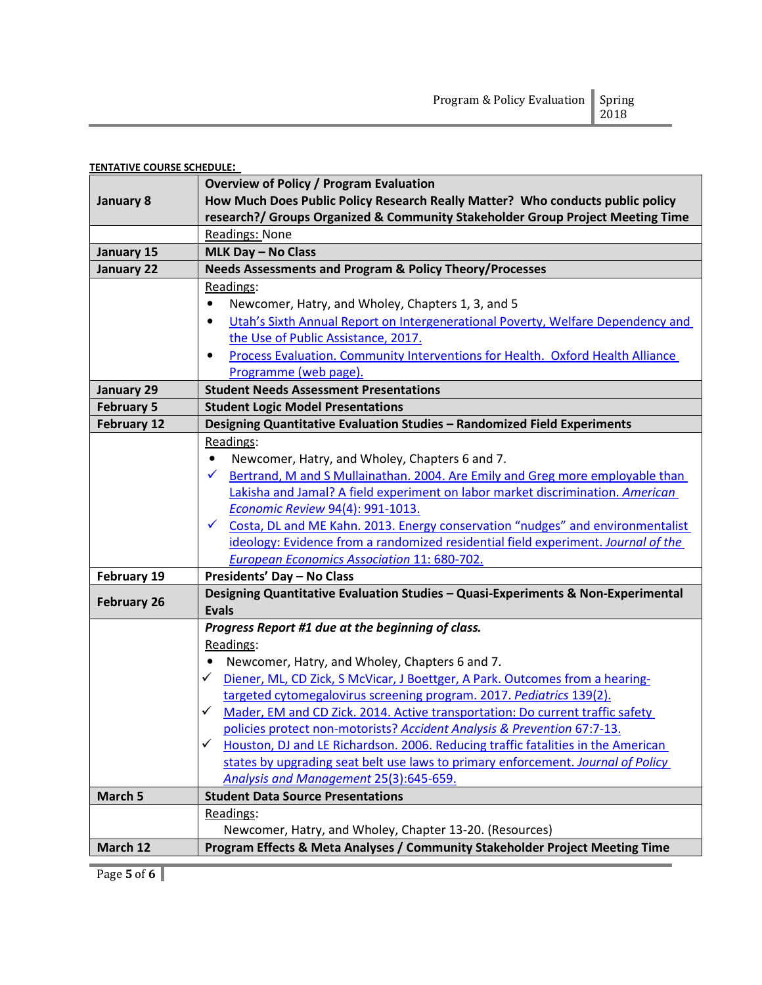| Program & Policy Evaluation   Spring |      |
|--------------------------------------|------|
|                                      | 2018 |

| <b>TENTATIVE COURSE SCHEDULE:</b> |                                                                                                  |  |
|-----------------------------------|--------------------------------------------------------------------------------------------------|--|
|                                   | <b>Overview of Policy / Program Evaluation</b>                                                   |  |
| January 8                         | How Much Does Public Policy Research Really Matter? Who conducts public policy                   |  |
|                                   | research?/ Groups Organized & Community Stakeholder Group Project Meeting Time                   |  |
|                                   | Readings: None                                                                                   |  |
| January 15                        | MLK Day - No Class                                                                               |  |
| <b>January 22</b>                 | <b>Needs Assessments and Program &amp; Policy Theory/Processes</b>                               |  |
|                                   | Readings:                                                                                        |  |
|                                   | Newcomer, Hatry, and Wholey, Chapters 1, 3, and 5                                                |  |
|                                   | Utah's Sixth Annual Report on Intergenerational Poverty, Welfare Dependency and                  |  |
|                                   | the Use of Public Assistance, 2017.                                                              |  |
|                                   | Process Evaluation. Community Interventions for Health. Oxford Health Alliance                   |  |
|                                   | Programme (web page).                                                                            |  |
| January 29                        | <b>Student Needs Assessment Presentations</b>                                                    |  |
| <b>February 5</b>                 | <b>Student Logic Model Presentations</b>                                                         |  |
| <b>February 12</b>                | Designing Quantitative Evaluation Studies - Randomized Field Experiments                         |  |
|                                   | Readings:                                                                                        |  |
|                                   | Newcomer, Hatry, and Wholey, Chapters 6 and 7.                                                   |  |
|                                   | Bertrand, M and S Mullainathan. 2004. Are Emily and Greg more employable than                    |  |
|                                   | Lakisha and Jamal? A field experiment on labor market discrimination. American                   |  |
|                                   | Economic Review 94(4): 991-1013.                                                                 |  |
|                                   | Costa, DL and ME Kahn. 2013. Energy conservation "nudges" and environmentalist                   |  |
|                                   | ideology: Evidence from a randomized residential field experiment. Journal of the                |  |
|                                   | <b>European Economics Association 11: 680-702.</b>                                               |  |
| February 19                       | Presidents' Day - No Class                                                                       |  |
| <b>February 26</b>                | Designing Quantitative Evaluation Studies - Quasi-Experiments & Non-Experimental                 |  |
|                                   | <b>Evals</b>                                                                                     |  |
|                                   | Progress Report #1 due at the beginning of class.                                                |  |
|                                   | Readings:                                                                                        |  |
|                                   | Newcomer, Hatry, and Wholey, Chapters 6 and 7.                                                   |  |
|                                   | Diener, ML, CD Zick, S McVicar, J Boettger, A Park. Outcomes from a hearing-<br>✓                |  |
|                                   | targeted cytomegalovirus screening program. 2017. Pediatrics 139(2).                             |  |
|                                   | Mader, EM and CD Zick. 2014. Active transportation: Do current traffic safety<br>✓               |  |
|                                   | policies protect non-motorists? Accident Analysis & Prevention 67:7-13.                          |  |
|                                   | Houston, DJ and LE Richardson. 2006. Reducing traffic fatalities in the American<br>$\checkmark$ |  |
|                                   | states by upgrading seat belt use laws to primary enforcement. Journal of Policy                 |  |
|                                   | Analysis and Management 25(3):645-659.                                                           |  |
| March 5                           | <b>Student Data Source Presentations</b>                                                         |  |
|                                   | Readings:                                                                                        |  |
|                                   | Newcomer, Hatry, and Wholey, Chapter 13-20. (Resources)                                          |  |
| March 12                          | Program Effects & Meta Analyses / Community Stakeholder Project Meeting Time                     |  |

Page 5 of 6